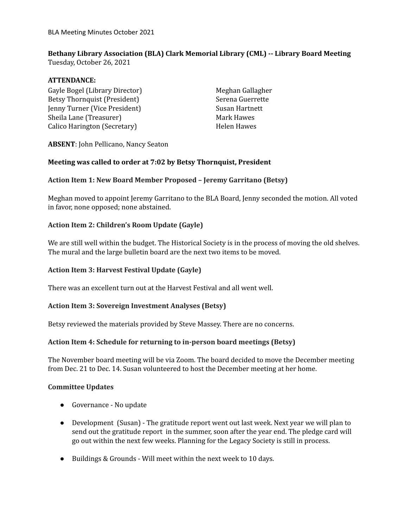# **Bethany Library Association (BLA) Clark Memorial Library (CML) -- Library Board Meeting**

Tuesday, October 26, 2021

## **ATTENDANCE:**

Gayle Bogel (Library Director) Betsy Thornquist (President) Jenny Turner (Vice President) Sheila Lane (Treasurer) Calico Harington (Secretary)

Meghan Gallagher Serena Guerrette Susan Hartnett Mark Hawes Helen Hawes

**ABSENT**: John Pellicano, Nancy Seaton

### **Meeting was called to order at 7:02 by Betsy Thornquist, President**

## **Action Item 1: New Board Member Proposed – Jeremy Garritano (Betsy)**

Meghan moved to appoint Jeremy Garritano to the BLA Board, Jenny seconded the motion. All voted in favor, none opposed; none abstained.

## **Action Item 2: Children's Room Update (Gayle)**

We are still well within the budget. The Historical Society is in the process of moving the old shelves. The mural and the large bulletin board are the next two items to be moved.

### **Action Item 3: Harvest Festival Update (Gayle)**

There was an excellent turn out at the Harvest Festival and all went well.

### **Action Item 3: Sovereign Investment Analyses (Betsy)**

Betsy reviewed the materials provided by Steve Massey. There are no concerns.

### **Action Item 4: Schedule for returning to in-person board meetings (Betsy)**

The November board meeting will be via Zoom. The board decided to move the December meeting from Dec. 21 to Dec. 14. Susan volunteered to host the December meeting at her home.

### **Committee Updates**

- Governance No update
- Development (Susan) The gratitude report went out last week. Next year we will plan to send out the gratitude report in the summer, soon after the year end. The pledge card will go out within the next few weeks. Planning for the Legacy Society is still in process.
- Buildings & Grounds Will meet within the next week to 10 days.